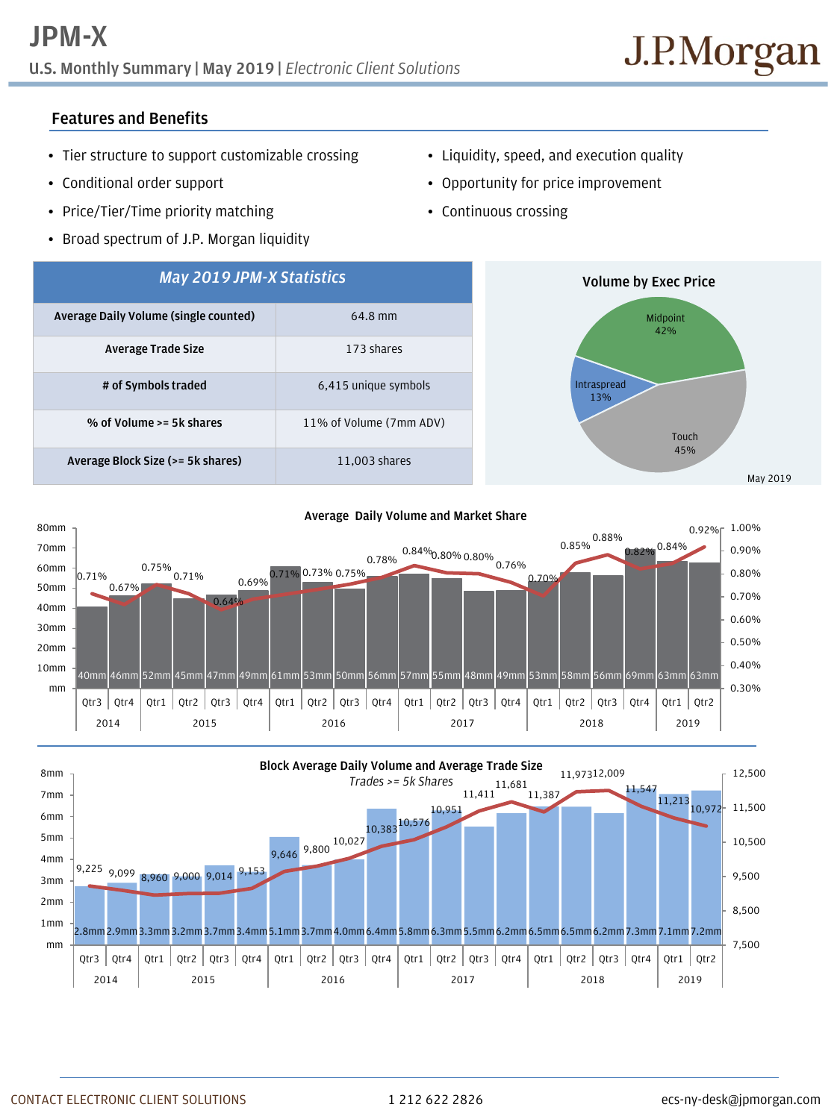# **U.S. Monthly Summary | May 2019 |** *Electronic Client Solutions*

## **Features and Benefits**

- Tier structure to support customizable crossing
- Conditional order support
- Price/Tier/Time priority matching
- Broad spectrum of J.P. Morgan liquidity
- Liquidity, speed, and execution quality
- Opportunity for price improvement
- Continuous crossing